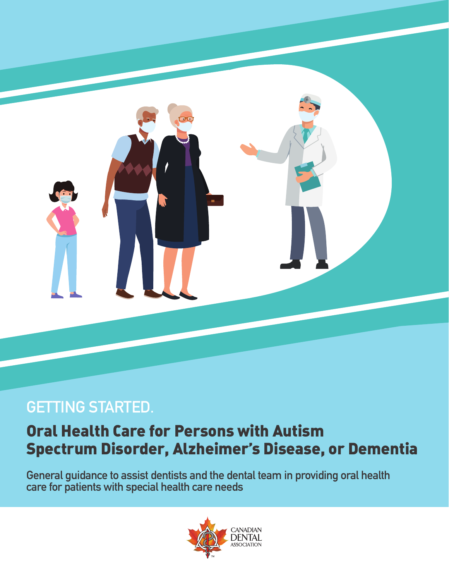

# **GETTING STARTED.**

# Oral Health Care for Persons with Autism Spectrum Disorder, Alzheimer's Disease, or Dementia

**General guidance to assist dentists and the dental team in providing oral health care for patients with special health care needs**

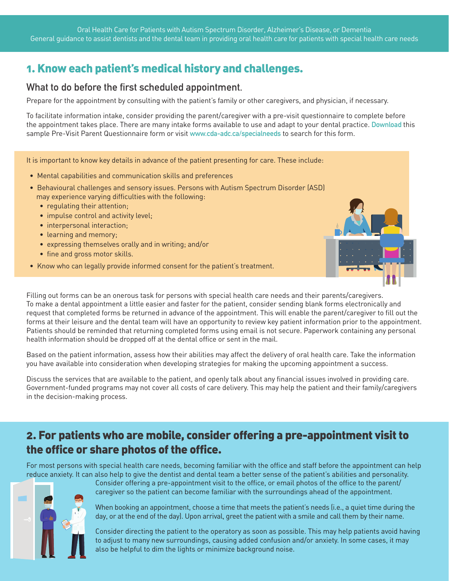## 1. Know each patient's medical history and challenges.

#### **What to do before the first scheduled appointment.**

Prepare for the appointment by consulting with the patient's family or other caregivers, and physician, if necessary.

To facilitate information intake, consider providing the parent/caregiver with a pre-visit questionnaire to complete before the appointment takes place. There are many intake forms available to use and adapt to your dental practice. **[Download](https://www.cda-adc.ca/_files/oral_health/cfyt/special_needs/SNB_Form_EN_VFillable.pdf)** this sample Pre-Visit Parent Questionnaire form or visit **www.cda-adc.ca/specialneeds** to search for this form.

It is important to know key details in advance of the patient presenting for care. These include:

- Mental capabilities and communication skills and preferences
- Behavioural challenges and sensory issues. Persons with Autism Spectrum Disorder (ASD) may experience varying difficulties with the following:
	- regulating their attention;
	- impulse control and activity level;
	- interpersonal interaction;
	- learning and memory;
	- expressing themselves orally and in writing; and/or
	- fine and gross motor skills.
- Know who can legally provide informed consent for the patient's treatment.



Filling out forms can be an onerous task for persons with special health care needs and their parents/caregivers. To make a dental appointment a little easier and faster for the patient, consider sending blank forms electronically and request that completed forms be returned in advance of the appointment. This will enable the parent/caregiver to fill out the forms at their leisure and the dental team will have an opportunity to review key patient information prior to the appointment. Patients should be reminded that returning completed forms using email is not secure. Paperwork containing any personal health information should be dropped off at the dental office or sent in the mail.

Based on the patient information, assess how their abilities may affect the delivery of oral health care. Take the information you have available into consideration when developing strategies for making the upcoming appointment a success.

Discuss the services that are available to the patient, and openly talk about any financial issues involved in providing care. Government-funded programs may not cover all costs of care delivery. This may help the patient and their family/caregivers in the decision-making process.

### 2. For patients who are mobile, consider offering a pre-appointment visit to the office or share photos of the office.

For most persons with special health care needs, becoming familiar with the office and staff before the appointment can help reduce anxiety. It can also help to give the dentist and dental team a better sense of the patient's abilities and personality.



Consider offering a pre-appointment visit to the office, or email photos of the office to the parent/ caregiver so the patient can become familiar with the surroundings ahead of the appointment.

When booking an appointment, choose a time that meets the patient's needs (i.e., a quiet time during the day, or at the end of the day). Upon arrival, greet the patient with a smile and call them by their name.

Consider directing the patient to the operatory as soon as possible. This may help patients avoid having to adjust to many new surroundings, causing added confusion and/or anxiety. In some cases, it may also be helpful to dim the lights or minimize background noise.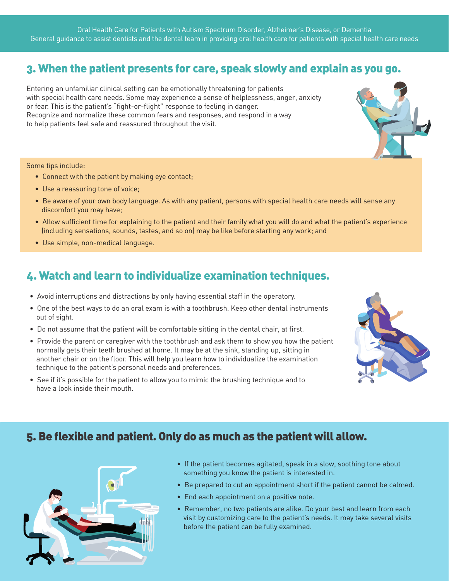Oral Health Care for Patients with Autism Spectrum Disorder, Alzheimer's Disease, or Dementia General guidance to assist dentists and the dental team in providing oral health care for patients with special health care needs

#### 3. When the patient presents for care, speak slowly and explain as you go.

Entering an unfamiliar clinical setting can be emotionally threatening for patients with special health care needs. Some may experience a sense of helplessness, anger, anxiety or fear. This is the patient's "fight-or-flight" response to feeling in danger. Recognize and normalize these common fears and responses, and respond in a way to help patients feel safe and reassured throughout the visit.



#### Some tips include:

- Connect with the patient by making eye contact;
- Use a reassuring tone of voice;
- Be aware of your own body language. As with any patient, persons with special health care needs will sense any discomfort you may have;
- Allow sufficient time for explaining to the patient and their family what you will do and what the patient's experience (including sensations, sounds, tastes, and so on) may be like before starting any work; and
- Use simple, non-medical language.

#### 4. Watch and learn to individualize examination techniques.

- Avoid interruptions and distractions by only having essential staff in the operatory.
- One of the best ways to do an oral exam is with a toothbrush. Keep other dental instruments out of sight.
- Do not assume that the patient will be comfortable sitting in the dental chair, at first.
- Provide the parent or caregiver with the toothbrush and ask them to show you how the patient normally gets their teeth brushed at home. It may be at the sink, standing up, sitting in another chair or on the floor. This will help you learn how to individualize the examination technique to the patient's personal needs and preferences.
- See if it's possible for the patient to allow you to mimic the brushing technique and to have a look inside their mouth.



#### 5. Be flexible and patient. Only do as much as the patient will allow.



- If the patient becomes agitated, speak in a slow, soothing tone about something you know the patient is interested in.
- Be prepared to cut an appointment short if the patient cannot be calmed.
- End each appointment on a positive note.
- Remember, no two patients are alike. Do your best and learn from each visit by customizing care to the patient's needs. It may take several visits before the patient can be fully examined.